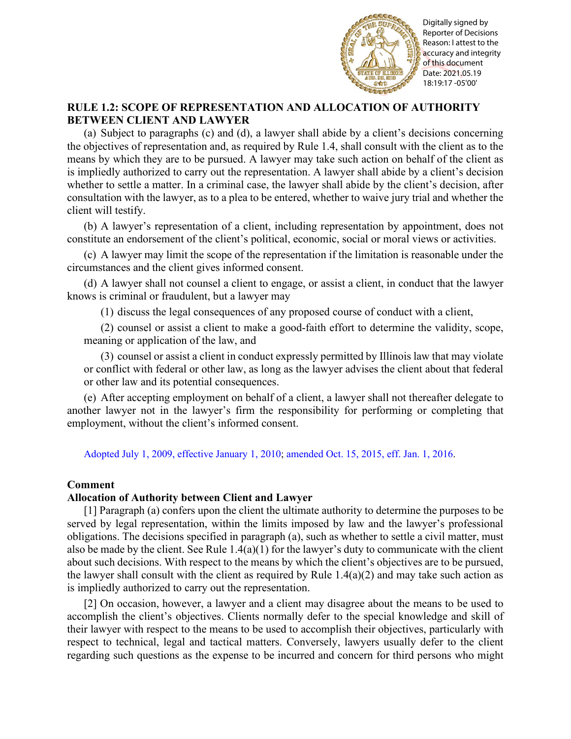

Digitally signed by Reporter of Decisions Reason: I attest to the accuracy and integrity of this document Date: 2021.05.19 18:19:17 -05'00'

# **RULE 1.2: SCOPE OF REPRESENTATION AND ALLOCATION OF AUTHORITY BETWEEN CLIENT AND LAWYER**

(a) Subject to paragraphs (c) and (d), a lawyer shall abide by a client's decisions concerning the objectives of representation and, as required by Rule 1.4, shall consult with the client as to the means by which they are to be pursued. A lawyer may take such action on behalf of the client as is impliedly authorized to carry out the representation. A lawyer shall abide by a client's decision whether to settle a matter. In a criminal case, the lawyer shall abide by the client's decision, after consultation with the lawyer, as to a plea to be entered, whether to waive jury trial and whether the client will testify.

(b) A lawyer's representation of a client, including representation by appointment, does not constitute an endorsement of the client's political, economic, social or moral views or activities.

(c) A lawyer may limit the scope of the representation if the limitation is reasonable under the circumstances and the client gives informed consent.

(d) A lawyer shall not counsel a client to engage, or assist a client, in conduct that the lawyer knows is criminal or fraudulent, but a lawyer may

(1) discuss the legal consequences of any proposed course of conduct with a client,

(2) counsel or assist a client to make a good-faith effort to determine the validity, scope, meaning or application of the law, and

(3) counsel or assist a client in conduct expressly permitted by Illinois law that may violate or conflict with federal or other law, as long as the lawyer advises the client about that federal or other law and its potential consequences.

(e) After accepting employment on behalf of a client, a lawyer shall not thereafter delegate to another lawyer not in the lawyer's firm the responsibility for performing or completing that employment, without the client's informed consent.

[Adopted July 1, 2009, effective January 1, 2010;](http://www.illinoiscourts.gov/files/070109.pdf/amendment) [amended Oct. 15, 2015, eff.](http://www.illinoiscourts.gov/files/101515.pdf/amendment) Jan. 1, 2016.

## **Comment**

## **Allocation of Authority between Client and Lawyer**

[1] Paragraph (a) confers upon the client the ultimate authority to determine the purposes to be served by legal representation, within the limits imposed by law and the lawyer's professional obligations. The decisions specified in paragraph (a), such as whether to settle a civil matter, must also be made by the client. See Rule 1.4(a)(1) for the lawyer's duty to communicate with the client about such decisions. With respect to the means by which the client's objectives are to be pursued, the lawyer shall consult with the client as required by Rule  $1.4(a)(2)$  and may take such action as is impliedly authorized to carry out the representation.

[2] On occasion, however, a lawyer and a client may disagree about the means to be used to accomplish the client's objectives. Clients normally defer to the special knowledge and skill of their lawyer with respect to the means to be used to accomplish their objectives, particularly with respect to technical, legal and tactical matters. Conversely, lawyers usually defer to the client regarding such questions as the expense to be incurred and concern for third persons who might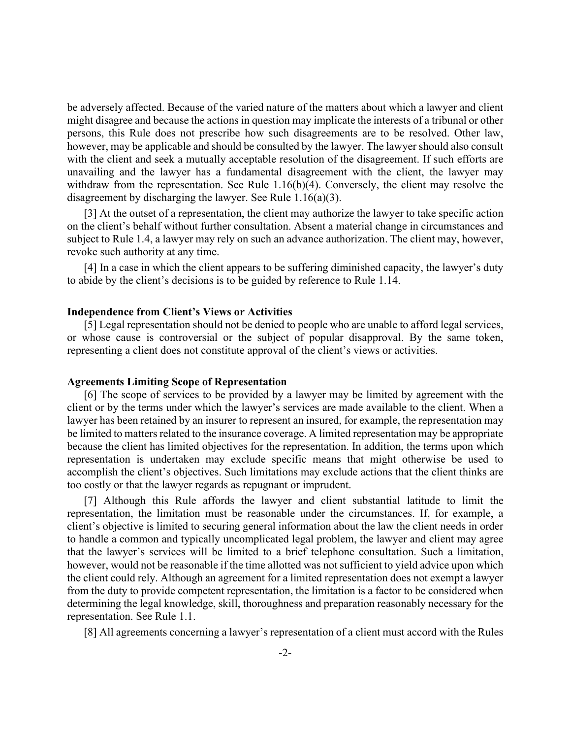be adversely affected. Because of the varied nature of the matters about which a lawyer and client might disagree and because the actions in question may implicate the interests of a tribunal or other persons, this Rule does not prescribe how such disagreements are to be resolved. Other law, however, may be applicable and should be consulted by the lawyer. The lawyer should also consult with the client and seek a mutually acceptable resolution of the disagreement. If such efforts are unavailing and the lawyer has a fundamental disagreement with the client, the lawyer may withdraw from the representation. See Rule 1.16(b)(4). Conversely, the client may resolve the disagreement by discharging the lawyer. See Rule 1.16(a)(3).

[3] At the outset of a representation, the client may authorize the lawyer to take specific action on the client's behalf without further consultation. Absent a material change in circumstances and subject to Rule 1.4, a lawyer may rely on such an advance authorization. The client may, however, revoke such authority at any time.

[4] In a case in which the client appears to be suffering diminished capacity, the lawyer's duty to abide by the client's decisions is to be guided by reference to Rule 1.14.

#### **Independence from Client's Views or Activities**

[5] Legal representation should not be denied to people who are unable to afford legal services, or whose cause is controversial or the subject of popular disapproval. By the same token, representing a client does not constitute approval of the client's views or activities.

### **Agreements Limiting Scope of Representation**

[6] The scope of services to be provided by a lawyer may be limited by agreement with the client or by the terms under which the lawyer's services are made available to the client. When a lawyer has been retained by an insurer to represent an insured, for example, the representation may be limited to matters related to the insurance coverage. A limited representation may be appropriate because the client has limited objectives for the representation. In addition, the terms upon which representation is undertaken may exclude specific means that might otherwise be used to accomplish the client's objectives. Such limitations may exclude actions that the client thinks are too costly or that the lawyer regards as repugnant or imprudent.

[7] Although this Rule affords the lawyer and client substantial latitude to limit the representation, the limitation must be reasonable under the circumstances. If, for example, a client's objective is limited to securing general information about the law the client needs in order to handle a common and typically uncomplicated legal problem, the lawyer and client may agree that the lawyer's services will be limited to a brief telephone consultation. Such a limitation, however, would not be reasonable if the time allotted was not sufficient to yield advice upon which the client could rely. Although an agreement for a limited representation does not exempt a lawyer from the duty to provide competent representation, the limitation is a factor to be considered when determining the legal knowledge, skill, thoroughness and preparation reasonably necessary for the representation. See Rule 1.1.

[8] All agreements concerning a lawyer's representation of a client must accord with the Rules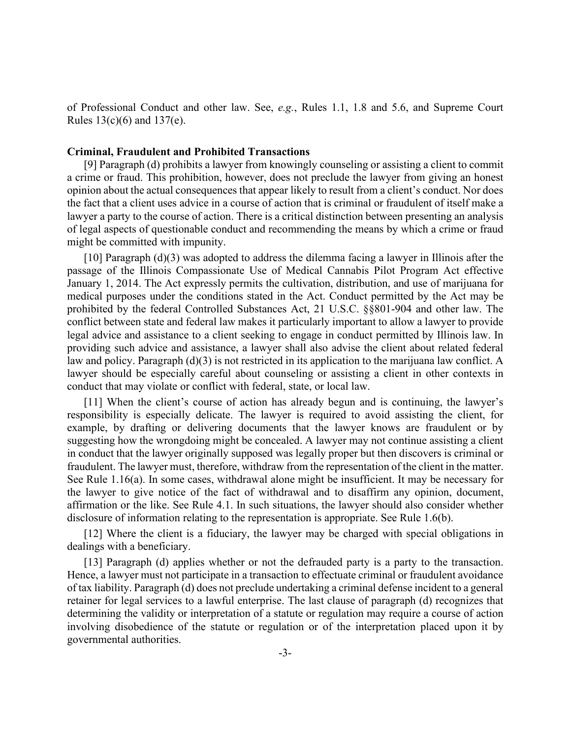of Professional Conduct and other law. See, *e.g.*, Rules 1.1, 1.8 and 5.6, and Supreme Court Rules  $13(c)(6)$  and  $137(e)$ .

### **Criminal, Fraudulent and Prohibited Transactions**

[9] Paragraph (d) prohibits a lawyer from knowingly counseling or assisting a client to commit a crime or fraud. This prohibition, however, does not preclude the lawyer from giving an honest opinion about the actual consequences that appear likely to result from a client's conduct. Nor does the fact that a client uses advice in a course of action that is criminal or fraudulent of itself make a lawyer a party to the course of action. There is a critical distinction between presenting an analysis of legal aspects of questionable conduct and recommending the means by which a crime or fraud might be committed with impunity.

[10] Paragraph (d)(3) was adopted to address the dilemma facing a lawyer in Illinois after the passage of the Illinois Compassionate Use of Medical Cannabis Pilot Program Act effective January 1, 2014. The Act expressly permits the cultivation, distribution, and use of marijuana for medical purposes under the conditions stated in the Act. Conduct permitted by the Act may be prohibited by the federal Controlled Substances Act, 21 U.S.C. §§801-904 and other law. The conflict between state and federal law makes it particularly important to allow a lawyer to provide legal advice and assistance to a client seeking to engage in conduct permitted by Illinois law. In providing such advice and assistance, a lawyer shall also advise the client about related federal law and policy. Paragraph (d)(3) is not restricted in its application to the marijuana law conflict. A lawyer should be especially careful about counseling or assisting a client in other contexts in conduct that may violate or conflict with federal, state, or local law.

[11] When the client's course of action has already begun and is continuing, the lawyer's responsibility is especially delicate. The lawyer is required to avoid assisting the client, for example, by drafting or delivering documents that the lawyer knows are fraudulent or by suggesting how the wrongdoing might be concealed. A lawyer may not continue assisting a client in conduct that the lawyer originally supposed was legally proper but then discovers is criminal or fraudulent. The lawyer must, therefore, withdraw from the representation of the client in the matter. See Rule 1.16(a). In some cases, withdrawal alone might be insufficient. It may be necessary for the lawyer to give notice of the fact of withdrawal and to disaffirm any opinion, document, affirmation or the like. See Rule 4.1. In such situations, the lawyer should also consider whether disclosure of information relating to the representation is appropriate. See Rule 1.6(b).

[12] Where the client is a fiduciary, the lawyer may be charged with special obligations in dealings with a beneficiary.

[13] Paragraph (d) applies whether or not the defrauded party is a party to the transaction. Hence, a lawyer must not participate in a transaction to effectuate criminal or fraudulent avoidance of tax liability. Paragraph (d) does not preclude undertaking a criminal defense incident to a general retainer for legal services to a lawful enterprise. The last clause of paragraph (d) recognizes that determining the validity or interpretation of a statute or regulation may require a course of action involving disobedience of the statute or regulation or of the interpretation placed upon it by governmental authorities.